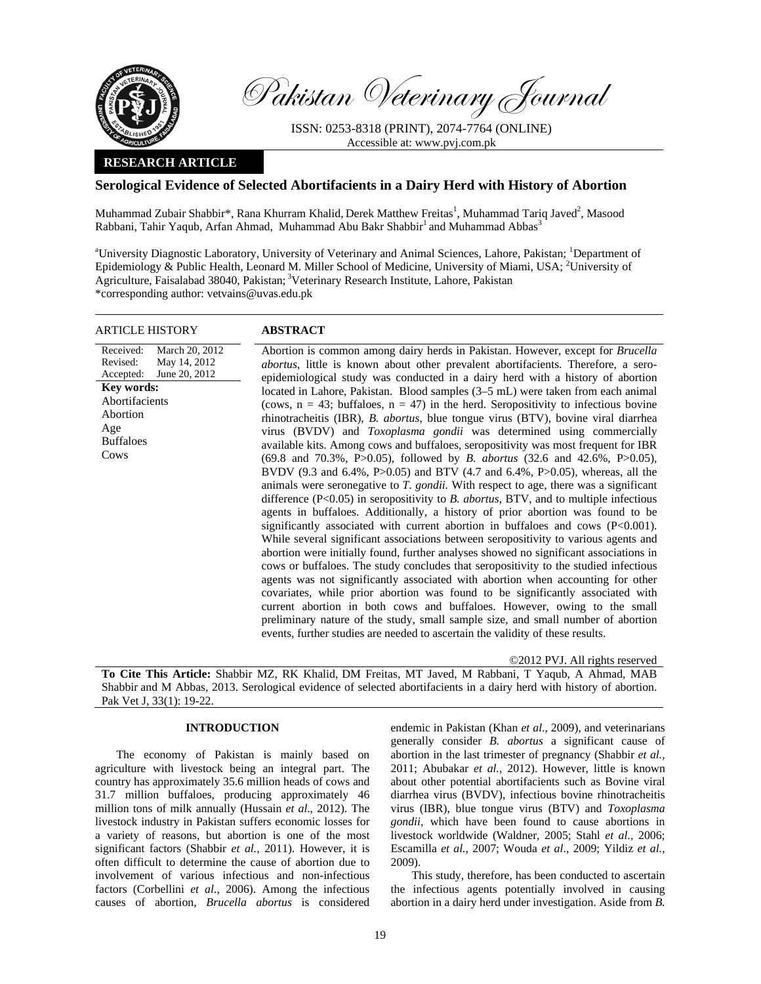

Pakistan Veterinary Journal

ISSN: 0253-8318 (PRINT), 2074-7764 (ONLINE) Accessible at: www.pvj.com.pk

## **RESEARCH ARTICLE**

# **Serological Evidence of Selected Abortifacients in a Dairy Herd with History of Abortion**

Muhammad Zubair Shabbir\*, Rana Khurram Khalid, Derek Matthew Freitas<sup>1</sup>, Muhammad Tariq Javed<sup>2</sup>, Masood Rabbani, Tahir Yaqub, Arfan Ahmad, Muhammad Abu Bakr Shabbir<sup>1</sup> and Muhammad Abbas<sup>3</sup>

<sup>a</sup> University Diagnostic Laboratory, University of Veterinary and Animal Sciences, Lahore, Pakistan; <sup>1</sup>Department of Epidemiology & Public Health, Leonard M. Miller School of Medicine, University of Miami, USA; <sup>2</sup>University of Agriculture, Faisalabad 38040, Pakistan; <sup>3</sup>Veterinary Research Institute, Lahore, Pakistan \*corresponding author: vetvains@uvas.edu.pk

| <b>ARTICLE HISTORY</b>                                                                | <b>ABSTRACT</b>                                                                                                                                                                                                                                                                                                                                                                                                                                                                                                                                                                                                                                                                                                                                                                                                                                                                                                                                                                                                                                                                                                                                                                                                                                                                                                                                                                                                                                                                                                                                                                                                                                  |
|---------------------------------------------------------------------------------------|--------------------------------------------------------------------------------------------------------------------------------------------------------------------------------------------------------------------------------------------------------------------------------------------------------------------------------------------------------------------------------------------------------------------------------------------------------------------------------------------------------------------------------------------------------------------------------------------------------------------------------------------------------------------------------------------------------------------------------------------------------------------------------------------------------------------------------------------------------------------------------------------------------------------------------------------------------------------------------------------------------------------------------------------------------------------------------------------------------------------------------------------------------------------------------------------------------------------------------------------------------------------------------------------------------------------------------------------------------------------------------------------------------------------------------------------------------------------------------------------------------------------------------------------------------------------------------------------------------------------------------------------------|
| Received:<br>March 20, 2012<br>Revised:<br>May 14, 2012<br>June 20, 2012<br>Accepted: | Abortion is common among dairy herds in Pakistan. However, except for <i>Brucella</i><br><i>abortus</i> , little is known about other prevalent abortifacients. Therefore, a sero-<br>epidemiological study was conducted in a dairy herd with a history of abortion                                                                                                                                                                                                                                                                                                                                                                                                                                                                                                                                                                                                                                                                                                                                                                                                                                                                                                                                                                                                                                                                                                                                                                                                                                                                                                                                                                             |
| <b>Key words:</b><br>Abortifacients<br>Abortion<br>Age<br><b>Buffaloes</b><br>Cows    | located in Lahore, Pakistan. Blood samples (3–5 mL) were taken from each animal<br>(cows, $n = 43$ ; buffaloes, $n = 47$ ) in the herd. Seropositivity to infectious bovine<br>rhinotracheitis (IBR), <i>B. abortus</i> , blue tongue virus (BTV), bovine viral diarrhea<br>virus (BVDV) and <i>Toxoplasma gondii</i> was determined using commercially<br>available kits. Among cows and buffaloes, seropositivity was most frequent for IBR<br>$(69.8 \text{ and } 70.3\%, \text{ P} > 0.05)$ , followed by <i>B. abortus</i> (32.6 and 42.6%, P $ > 0.05$ ),<br>BVDV $(9.3 \text{ and } 6.4\%, P > 0.05)$ and BTV $(4.7 \text{ and } 6.4\%, P > 0.05)$ , whereas, all the<br>animals were seronegative to T. gondii. With respect to age, there was a significant<br>difference $(P<0.05)$ in seropositivity to B. abortus, BTV, and to multiple infectious<br>agents in buffaloes. Additionally, a history of prior abortion was found to be<br>significantly associated with current abortion in buffaloes and cows (P<0.001).<br>While several significant associations between seropositivity to various agents and<br>abortion were initially found, further analyses showed no significant associations in<br>cows or buffaloes. The study concludes that seropositivity to the studied infectious<br>agents was not significantly associated with abortion when accounting for other<br>covariates, while prior abortion was found to be significantly associated with<br>current abortion in both cows and buffaloes. However, owing to the small<br>preliminary nature of the study, small sample size, and small number of abortion |
|                                                                                       | events, further studies are needed to ascertain the validity of these results.                                                                                                                                                                                                                                                                                                                                                                                                                                                                                                                                                                                                                                                                                                                                                                                                                                                                                                                                                                                                                                                                                                                                                                                                                                                                                                                                                                                                                                                                                                                                                                   |

©2012 PVJ. All rights reserved

**To Cite This Article:** Shabbir MZ, RK Khalid, DM Freitas, MT Javed, M Rabbani, T Yaqub, A Ahmad, MAB Shabbir and M Abbas, 2013. Serological evidence of selected abortifacients in a dairy herd with history of abortion. Pak Vet J, 33(1): 19-22.

## **INTRODUCTION**

The economy of Pakistan is mainly based on agriculture with livestock being an integral part. The country has approximately 35.6 million heads of cows and 31.7 million buffaloes, producing approximately 46 million tons of milk annually (Hussain *et al*., 2012). The livestock industry in Pakistan suffers economic losses for a variety of reasons, but abortion is one of the most significant factors (Shabbir *et al.,* 2011). However, it is often difficult to determine the cause of abortion due to involvement of various infectious and non-infectious factors (Corbellini *et al.,* 2006). Among the infectious causes of abortion, *Brucella abortus* is considered

endemic in Pakistan (Khan *et al*.*,* 2009), and veterinarians generally consider *B. abortus* a significant cause of abortion in the last trimester of pregnancy (Shabbir *et al.,* 2011; Abubakar *et al.,* 2012). However, little is known about other potential abortifacients such as Bovine viral diarrhea virus (BVDV), infectious bovine rhinotracheitis virus (IBR), blue tongue virus (BTV) and *Toxoplasma gondii*, which have been found to cause abortions in livestock worldwide (Waldner*,* 2005; Stahl *et al.,* 2006; Escamilla *et al.,* 2007; Wouda *et al*.*,* 2009; Yildiz *et al.,* 2009).

This study, therefore, has been conducted to ascertain the infectious agents potentially involved in causing abortion in a dairy herd under investigation. Aside from *B.*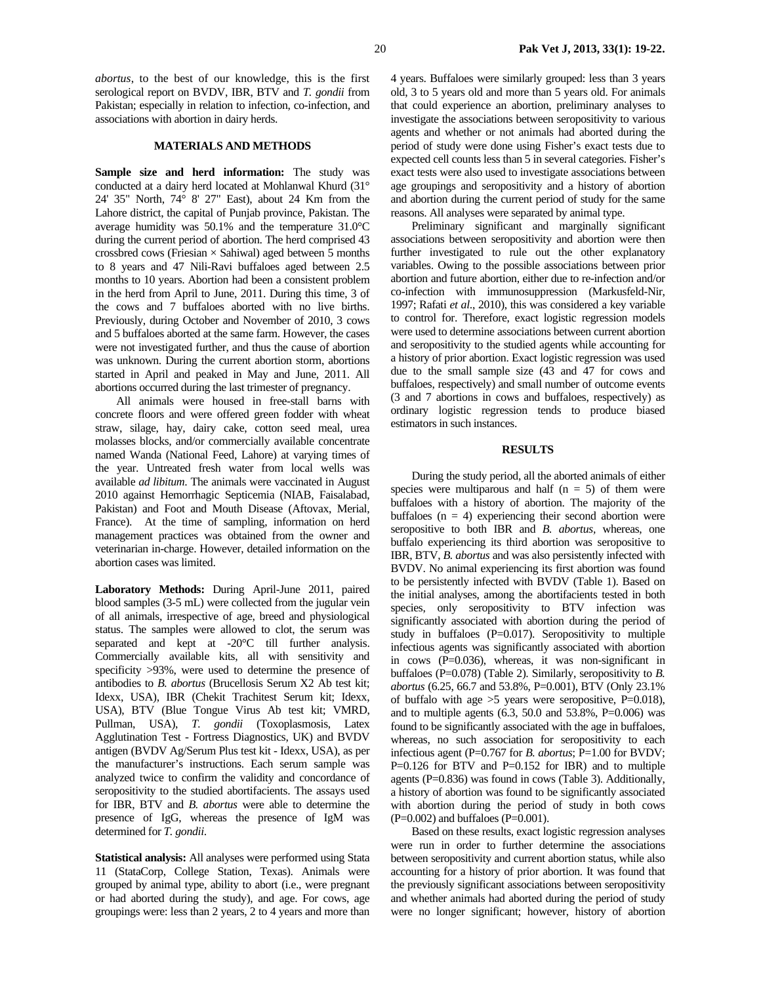*abortus*, to the best of our knowledge, this is the first serological report on BVDV, IBR, BTV and *T. gondii* from Pakistan; especially in relation to infection, co-infection, and associations with abortion in dairy herds.

### **MATERIALS AND METHODS**

**Sample size and herd information:** The study was conducted at a dairy herd located at Mohlanwal Khurd (31° 24' 35" North, 74° 8' 27" East), about 24 Km from the Lahore district, the capital of Punjab province, Pakistan. The average humidity was 50.1% and the temperature 31.0°C during the current period of abortion. The herd comprised 43 crossbred cows (Friesian  $\times$  Sahiwal) aged between 5 months to 8 years and 47 Nili-Ravi buffaloes aged between 2.5 months to 10 years. Abortion had been a consistent problem in the herd from April to June, 2011. During this time, 3 of the cows and 7 buffaloes aborted with no live births. Previously, during October and November of 2010, 3 cows and 5 buffaloes aborted at the same farm. However, the cases were not investigated further, and thus the cause of abortion was unknown. During the current abortion storm, abortions started in April and peaked in May and June, 2011. All abortions occurred during the last trimester of pregnancy.

All animals were housed in free-stall barns with concrete floors and were offered green fodder with wheat straw, silage, hay, dairy cake, cotton seed meal, urea molasses blocks, and/or commercially available concentrate named Wanda (National Feed, Lahore) at varying times of the year. Untreated fresh water from local wells was available *ad libitum*. The animals were vaccinated in August 2010 against Hemorrhagic Septicemia (NIAB, Faisalabad, Pakistan) and Foot and Mouth Disease (Aftovax, Merial, France). At the time of sampling, information on herd management practices was obtained from the owner and veterinarian in-charge. However, detailed information on the abortion cases was limited.

**Laboratory Methods:** During April-June 2011, paired blood samples (3-5 mL) were collected from the jugular vein of all animals, irrespective of age, breed and physiological status. The samples were allowed to clot, the serum was separated and kept at -20°C till further analysis. Commercially available kits, all with sensitivity and specificity >93%, were used to determine the presence of antibodies to *B. abortus* (Brucellosis Serum X2 Ab test kit; Idexx, USA), IBR (Chekit Trachitest Serum kit; Idexx, USA), BTV (Blue Tongue Virus Ab test kit; VMRD, Pullman, USA), *T. gondii* (Toxoplasmosis, Latex Agglutination Test - Fortress Diagnostics, UK) and BVDV antigen (BVDV Ag/Serum Plus test kit - Idexx, USA), as per the manufacturer's instructions. Each serum sample was analyzed twice to confirm the validity and concordance of seropositivity to the studied abortifacients. The assays used for IBR, BTV and *B. abortus* were able to determine the presence of IgG, whereas the presence of IgM was determined for *T. gondii*.

**Statistical analysis:** All analyses were performed using Stata 11 (StataCorp, College Station, Texas). Animals were grouped by animal type, ability to abort (i.e., were pregnant or had aborted during the study), and age. For cows, age groupings were: less than 2 years, 2 to 4 years and more than

4 years. Buffaloes were similarly grouped: less than 3 years old, 3 to 5 years old and more than 5 years old. For animals that could experience an abortion, preliminary analyses to investigate the associations between seropositivity to various agents and whether or not animals had aborted during the period of study were done using Fisher's exact tests due to expected cell counts less than 5 in several categories. Fisher's exact tests were also used to investigate associations between age groupings and seropositivity and a history of abortion and abortion during the current period of study for the same reasons. All analyses were separated by animal type.

Preliminary significant and marginally significant associations between seropositivity and abortion were then further investigated to rule out the other explanatory variables. Owing to the possible associations between prior abortion and future abortion, either due to re-infection and/or co-infection with immunosuppression (Markusfeld-Nir, 1997; Rafati *et al*., 2010), this was considered a key variable to control for. Therefore, exact logistic regression models were used to determine associations between current abortion and seropositivity to the studied agents while accounting for a history of prior abortion. Exact logistic regression was used due to the small sample size (43 and 47 for cows and buffaloes, respectively) and small number of outcome events (3 and 7 abortions in cows and buffaloes, respectively) as ordinary logistic regression tends to produce biased estimators in such instances.

## **RESULTS**

During the study period, all the aborted animals of either species were multiparous and half  $(n = 5)$  of them were buffaloes with a history of abortion. The majority of the buffaloes  $(n = 4)$  experiencing their second abortion were seropositive to both IBR and *B. abortus,* whereas, one buffalo experiencing its third abortion was seropositive to IBR, BTV, *B. abortus* and was also persistently infected with BVDV. No animal experiencing its first abortion was found to be persistently infected with BVDV (Table 1). Based on the initial analyses, among the abortifacients tested in both species, only seropositivity to BTV infection was significantly associated with abortion during the period of study in buffaloes (P=0.017). Seropositivity to multiple infectious agents was significantly associated with abortion in cows (P=0.036), whereas, it was non-significant in buffaloes (P=0.078) (Table 2). Similarly, seropositivity to *B. abortus* (6.25, 66.7 and 53.8%, P=0.001), BTV (Only 23.1% of buffalo with age  $>5$  years were seropositive, P=0.018), and to multiple agents  $(6.3, 50.0, 50.0, 53.8\% , P=0.006)$  was found to be significantly associated with the age in buffaloes, whereas, no such association for seropositivity to each infectious agent (P=0.767 for *B. abortus*; P=1.00 for BVDV; P=0.126 for BTV and P=0.152 for IBR) and to multiple agents (P=0.836) was found in cows (Table 3). Additionally, a history of abortion was found to be significantly associated with abortion during the period of study in both cows  $(P=0.002)$  and buffaloes  $(P=0.001)$ .

Based on these results, exact logistic regression analyses were run in order to further determine the associations between seropositivity and current abortion status, while also accounting for a history of prior abortion. It was found that the previously significant associations between seropositivity and whether animals had aborted during the period of study were no longer significant; however, history of abortion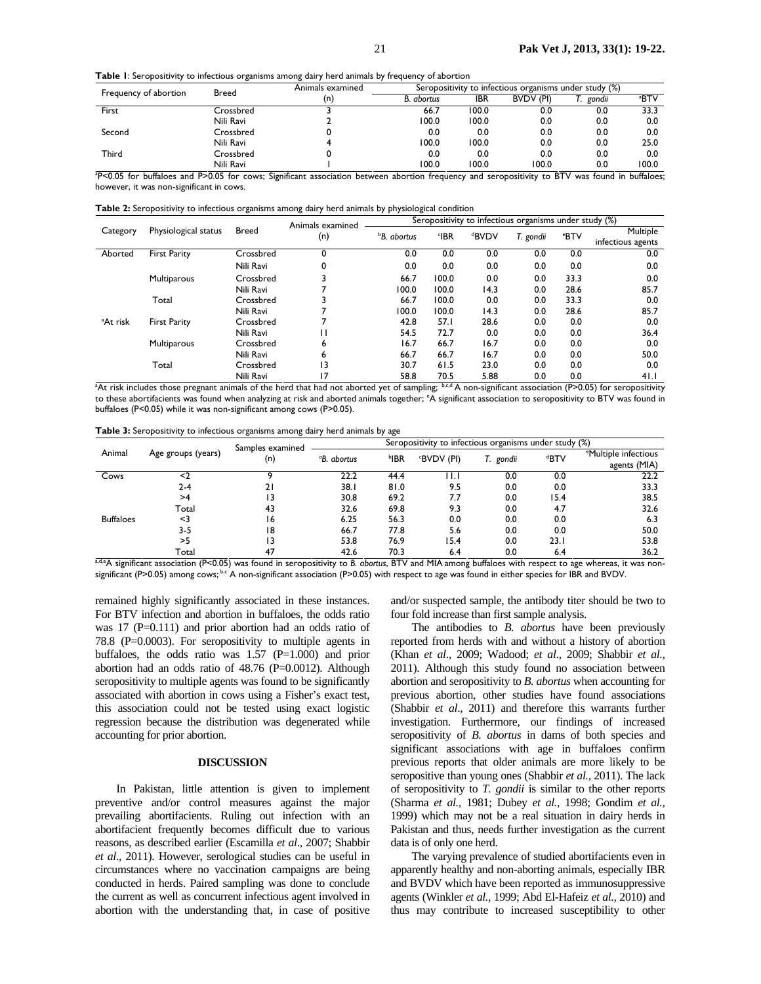**Table 1**: Seropositivity to infectious organisms among dairy herd animals by frequency of abortion

| Frequency of abortion | <b>Breed</b> | Seropositivity to infectious organisms under study (%)<br>Animals examined                                                                                  |            |            |           |        |                  |  |
|-----------------------|--------------|-------------------------------------------------------------------------------------------------------------------------------------------------------------|------------|------------|-----------|--------|------------------|--|
|                       |              | (n                                                                                                                                                          | B. abortus | <b>IBR</b> | BVDV (PI) | gondii | a <sub>BTV</sub> |  |
| First                 | Crossbred    |                                                                                                                                                             | 66.7       | 100.0      | 0.0       | 0.0    | 33.3             |  |
|                       | Nili Ravi    |                                                                                                                                                             | 100.0      | 100.0      | 0.0       | 0.0    | 0.0              |  |
| Second                | Crossbred    |                                                                                                                                                             | 0.0        | 0.0        | 0.0       | 0.0    | 0.0              |  |
|                       | Nili Ravi    |                                                                                                                                                             | 100.0      | 100.0      | 0.0       | 0.0    | 25.0             |  |
| Third                 | Crossbred    |                                                                                                                                                             | 0.0        | 0.0        | 0.0       | 0.0    | 0.0              |  |
|                       | Nili Ravi    |                                                                                                                                                             | 100.0      | 100.0      | 100.0     | 0.0    | 100.0            |  |
|                       |              | <sup>a</sup> P<0.05 for buffaloes and P>0.05 for cows; Significant association between abortion frequency and seropositivity to BTV was found in buffaloes; |            |            |           |        |                  |  |

however, it was non-significant in cows.

| Table 2: Seropositivity to infectious organisms among dairy herd animals by physiological condition |  |  |  |  |  |
|-----------------------------------------------------------------------------------------------------|--|--|--|--|--|
|                                                                                                     |  |  |  |  |  |

|                      | Physiological status                                                                                   | <b>Breed</b> | Animals examined<br>(n) | Seropositivity to infectious organisms under study (%) |                 |                   |           |            |                                                                     |  |
|----------------------|--------------------------------------------------------------------------------------------------------|--------------|-------------------------|--------------------------------------------------------|-----------------|-------------------|-----------|------------|---------------------------------------------------------------------|--|
| Category             |                                                                                                        |              |                         | <sup>b</sup> B. abortus                                | $\triangleq$ BR | <sup>d</sup> BVDV | T. gondii | <b>BTV</b> | Multiple<br>infectious agents                                       |  |
| Aborted              | <b>First Parity</b>                                                                                    | Crossbred    | 0                       | 0.0                                                    | 0.0             | 0.0               | 0.0       | 0.0        | 0.0                                                                 |  |
|                      |                                                                                                        | Nili Ravi    | 0                       | 0.0                                                    | 0.0             | 0.0               | 0.0       | 0.0        | 0.0                                                                 |  |
|                      | Multiparous                                                                                            | Crossbred    |                         | 66.7                                                   | 100.0           | 0.0               | 0.0       | 33.3       | 0.0                                                                 |  |
|                      |                                                                                                        | Nili Ravi    |                         | 100.0                                                  | 100.0           | 14.3              | 0.0       | 28.6       | 85.7                                                                |  |
|                      | Total                                                                                                  | Crossbred    |                         | 66.7                                                   | 100.0           | 0.0               | 0.0       | 33.3       | 0.0                                                                 |  |
|                      |                                                                                                        | Nili Ravi    |                         | 100.0                                                  | 100.0           | 14.3              | 0.0       | 28.6       | 85.7                                                                |  |
| <sup>a</sup> At risk | <b>First Parity</b>                                                                                    | Crossbred    |                         | 42.8                                                   | 57.I            | 28.6              | 0.0       | 0.0        | 0.0                                                                 |  |
|                      |                                                                                                        | Nili Ravi    |                         | 54.5                                                   | 72.7            | 0.0               | 0.0       | 0.0        | 36.4                                                                |  |
|                      | Multiparous                                                                                            | Crossbred    | 6                       | 16.7                                                   | 66.7            | 16.7              | 0.0       | 0.0        | 0.0                                                                 |  |
|                      |                                                                                                        | Nili Ravi    | 6                       | 66.7                                                   | 66.7            | 16.7              | 0.0       | 0.0        | 50.0                                                                |  |
|                      | Total                                                                                                  | Crossbred    | 13                      | 30.7                                                   | 61.5            | 23.0              | 0.0       | 0.0        | 0.0                                                                 |  |
|                      |                                                                                                        | Nili Ravi    | 17                      | 58.8                                                   | 70.5            | 5.88              | 0.0       | 0.0        | 41.1                                                                |  |
|                      | <sup>a</sup> At risk includes those pregnant animals of the herd that had not aborted yet of sampling; |              |                         |                                                        |                 |                   |           |            | $b, c, d$ A non-significant association (P>0.05) for seropositivity |  |

to these abortifacients was found when analyzing at risk and aborted animals together; <sup>e</sup>A significant association to seropositivity to BTV was found in buffaloes (P<0.05) while it was non-significant among cows (P>0.05).

**Table 3:** Seropositivity to infectious organisms among dairy herd animals by age

|                  | Age groups (years) | Samples examined<br>(n) | Seropositivity to infectious organisms under study (%) |                  |                  |           |                  |                                  |  |
|------------------|--------------------|-------------------------|--------------------------------------------------------|------------------|------------------|-----------|------------------|----------------------------------|--|
| Animal           |                    |                         | <sup>a</sup> B. abortus                                | b <sub>IBR</sub> | <b>BVDV</b> (PI) | T. gondii | <sup>d</sup> BTV | <sup>e</sup> Multiple infectious |  |
|                  |                    |                         |                                                        |                  |                  |           |                  | agents (MIA)                     |  |
| Cows             |                    |                         | 22.2                                                   | 44.4             |                  | 0.0       | 0.0              | 22.2                             |  |
|                  | $2-4$              | 21                      | 38.I                                                   | 81.0             | 9.5              | 0.0       | 0.0              | 33.3                             |  |
|                  | >4                 | 13                      | 30.8                                                   | 69.2             | 7.7              | 0.0       | 15.4             | 38.5                             |  |
|                  | Total              | 43                      | 32.6                                                   | 69.8             | 9.3              | 0.0       | 4.7              | 32.6                             |  |
| <b>Buffaloes</b> | <3                 | 16                      | 6.25                                                   | 56.3             | 0.0              | 0.0       | 0.0              | 6.3                              |  |
|                  | 3-5                | 18                      | 66.7                                                   | 77.8             | 5.6              | 0.0       | 0.0              | 50.0                             |  |
|                  | >5                 | 13                      | 53.8                                                   | 76.9             | 15.4             | 0.0       | 23.1             | 53.8                             |  |
|                  | Total              | 47                      | 42.6                                                   | 70.3             | 6.4              | 0.0       | 6.4              | 36.2                             |  |

<sup>a,d,e</sup>A significant association (P<0.05) was found in seropositivity to *B. abortus*, BTV and MIA among buffaloes with respect to age whereas, it was nonsignificant (P>0.05) among cows;  $b_c$  A non-significant association (P>0.05) with respect to age was found in either species for IBR and BVDV.

remained highly significantly associated in these instances. For BTV infection and abortion in buffaloes, the odds ratio was 17 (P=0.111) and prior abortion had an odds ratio of 78.8 (P=0.0003). For seropositivity to multiple agents in buffaloes, the odds ratio was 1.57 (P=1.000) and prior abortion had an odds ratio of 48.76 (P=0.0012). Although seropositivity to multiple agents was found to be significantly associated with abortion in cows using a Fisher's exact test, this association could not be tested using exact logistic regression because the distribution was degenerated while accounting for prior abortion.

#### **DISCUSSION**

In Pakistan, little attention is given to implement preventive and/or control measures against the major prevailing abortifacients. Ruling out infection with an abortifacient frequently becomes difficult due to various reasons, as described earlier (Escamilla *et al*.*,* 2007; Shabbir *et al*.*,* 2011). However, serological studies can be useful in circumstances where no vaccination campaigns are being conducted in herds. Paired sampling was done to conclude the current as well as concurrent infectious agent involved in abortion with the understanding that, in case of positive and/or suspected sample, the antibody titer should be two to four fold increase than first sample analysis.

The antibodies to *B. abortus* have been previously reported from herds with and without a history of abortion (Khan *et al*.*,* 2009; Wadood; *et al*.*,* 2009; Shabbir *et al.,* 2011). Although this study found no association between abortion and seropositivity to *B. abortus* when accounting for previous abortion, other studies have found associations (Shabbir *et al*.*,* 2011) and therefore this warrants further investigation. Furthermore, our findings of increased seropositivity of *B. abortus* in dams of both species and significant associations with age in buffaloes confirm previous reports that older animals are more likely to be seropositive than young ones (Shabbir *et al.*, 2011). The lack of seropositivity to *T. gondii* is similar to the other reports (Sharma *et al.,* 1981; Dubey *et al.,* 1998; Gondim *et al.,* 1999) which may not be a real situation in dairy herds in Pakistan and thus, needs further investigation as the current data is of only one herd.

The varying prevalence of studied abortifacients even in apparently healthy and non-aborting animals, especially IBR and BVDV which have been reported as immunosuppressive agents (Winkler *et al.,* 1999; Abd El-Hafeiz *et al.,* 2010) and thus may contribute to increased susceptibility to other